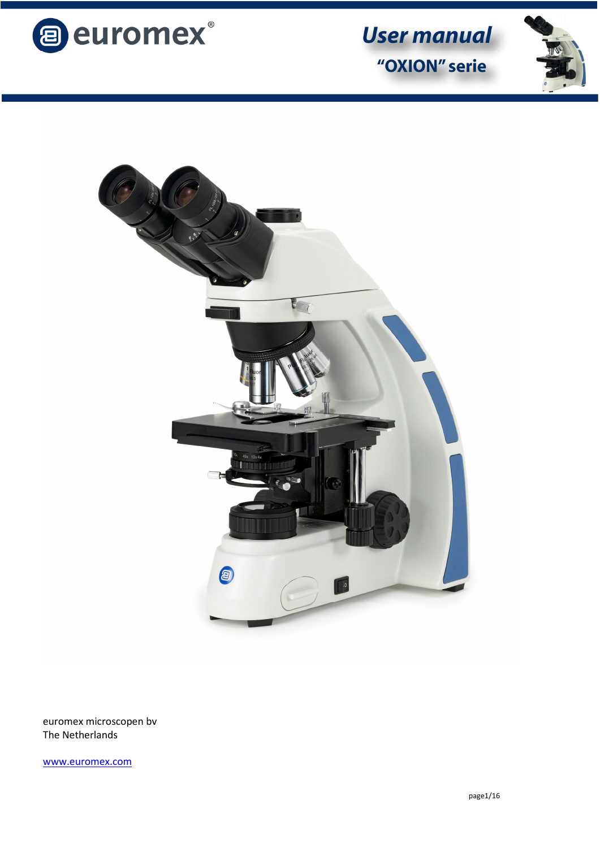





euromex microscopen bv The Netherlands

www.euromex.com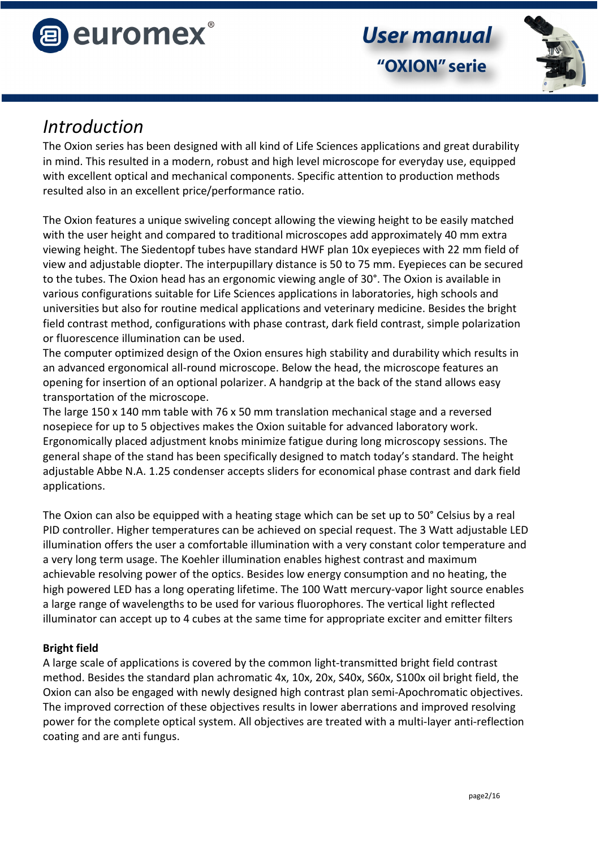



## *Introduction*

The Oxion series has been designed with all kind of Life Sciences applications and great durability in mind. This resulted in a modern, robust and high level microscope for everyday use, equipped with excellent optical and mechanical components. Specific attention to production methods resulted also in an excellent price/performance ratio.

The Oxion features a unique swiveling concept allowing the viewing height to be easily matched with the user height and compared to traditional microscopes add approximately 40 mm extra viewing height. The Siedentopf tubes have standard HWF plan 10x eyepieces with 22 mm field of view and adjustable diopter. The interpupillary distance is 50 to 75 mm. Eyepieces can be secured to the tubes. The Oxion head has an ergonomic viewing angle of 30°. The Oxion is available in various configurations suitable for Life Sciences applications in laboratories, high schools and universities but also for routine medical applications and veterinary medicine. Besides the bright field contrast method, configurations with phase contrast, dark field contrast, simple polarization or fluorescence illumination can be used.

The computer optimized design of the Oxion ensures high stability and durability which results in an advanced ergonomical all-round microscope. Below the head, the microscope features an opening for insertion of an optional polarizer. A handgrip at the back of the stand allows easy transportation of the microscope.

The large 150 x 140 mm table with 76 x 50 mm translation mechanical stage and a reversed nosepiece for up to 5 objectives makes the Oxion suitable for advanced laboratory work. Ergonomically placed adjustment knobs minimize fatigue during long microscopy sessions. The general shape of the stand has been specifically designed to match today's standard. The height adjustable Abbe N.A. 1.25 condenser accepts sliders for economical phase contrast and dark field applications.

The Oxion can also be equipped with a heating stage which can be set up to 50° Celsius by a real PID controller. Higher temperatures can be achieved on special request. The 3 Watt adjustable LED illumination offers the user a comfortable illumination with a very constant color temperature and a very long term usage. The Koehler illumination enables highest contrast and maximum achievable resolving power of the optics. Besides low energy consumption and no heating, the high powered LED has a long operating lifetime. The 100 Watt mercury-vapor light source enables a large range of wavelengths to be used for various fluorophores. The vertical light reflected illuminator can accept up to 4 cubes at the same time for appropriate exciter and emitter filters

## **Bright field**

A large scale of applications is covered by the common light-transmitted bright field contrast method. Besides the standard plan achromatic 4x, 10x, 20x, S40x, S60x, S100x oil bright field, the Oxion can also be engaged with newly designed high contrast plan semi-Apochromatic objectives. The improved correction of these objectives results in lower aberrations and improved resolving power for the complete optical system. All objectives are treated with a multi-layer anti-reflection coating and are anti fungus.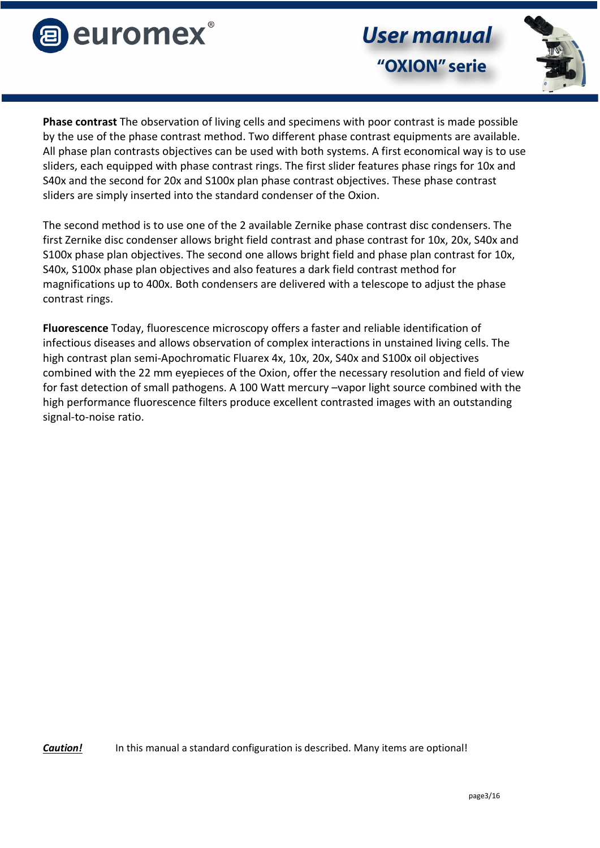

"OXION" serie

**User manual** 



**Phase contrast** The observation of living cells and specimens with poor contrast is made possible by the use of the phase contrast method. Two different phase contrast equipments are available. All phase plan contrasts objectives can be used with both systems. A first economical way is to use sliders, each equipped with phase contrast rings. The first slider features phase rings for 10x and S40x and the second for 20x and S100x plan phase contrast objectives. These phase contrast sliders are simply inserted into the standard condenser of the Oxion.

The second method is to use one of the 2 available Zernike phase contrast disc condensers. The first Zernike disc condenser allows bright field contrast and phase contrast for 10x, 20x, S40x and S100x phase plan objectives. The second one allows bright field and phase plan contrast for 10x, S40x, S100x phase plan objectives and also features a dark field contrast method for magnifications up to 400x. Both condensers are delivered with a telescope to adjust the phase contrast rings.

**Fluorescence** Today, fluorescence microscopy offers a faster and reliable identification of infectious diseases and allows observation of complex interactions in unstained living cells. The high contrast plan semi-Apochromatic Fluarex 4x, 10x, 20x, S40x and S100x oil objectives combined with the 22 mm eyepieces of the Oxion, offer the necessary resolution and field of view for fast detection of small pathogens. A 100 Watt mercury –vapor light source combined with the high performance fluorescence filters produce excellent contrasted images with an outstanding signal-to-noise ratio.

*Caution!* In this manual a standard configuration is described. Many items are optional!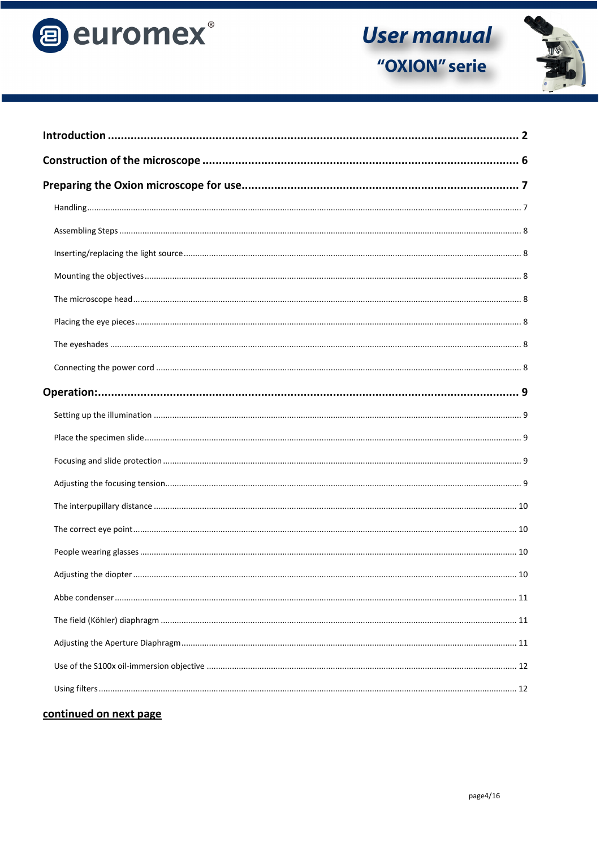



#### continued on next page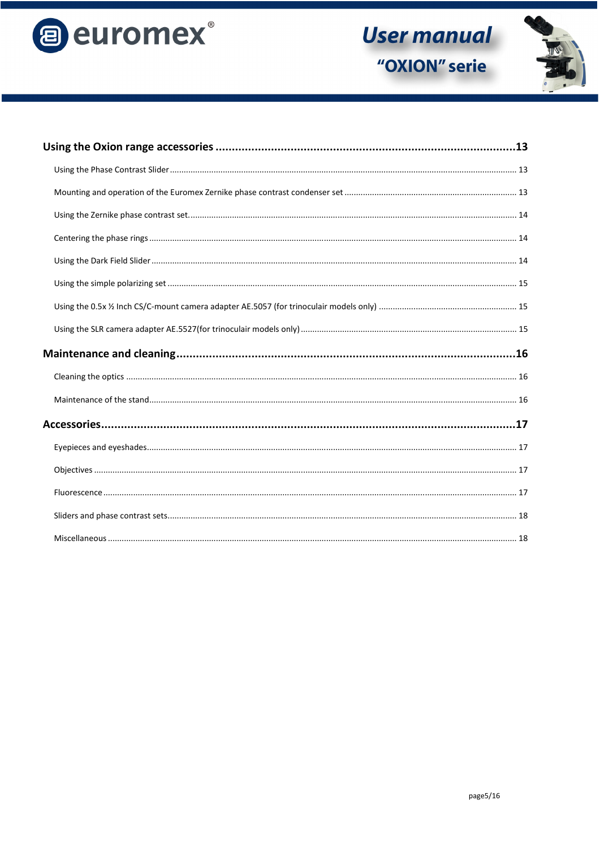

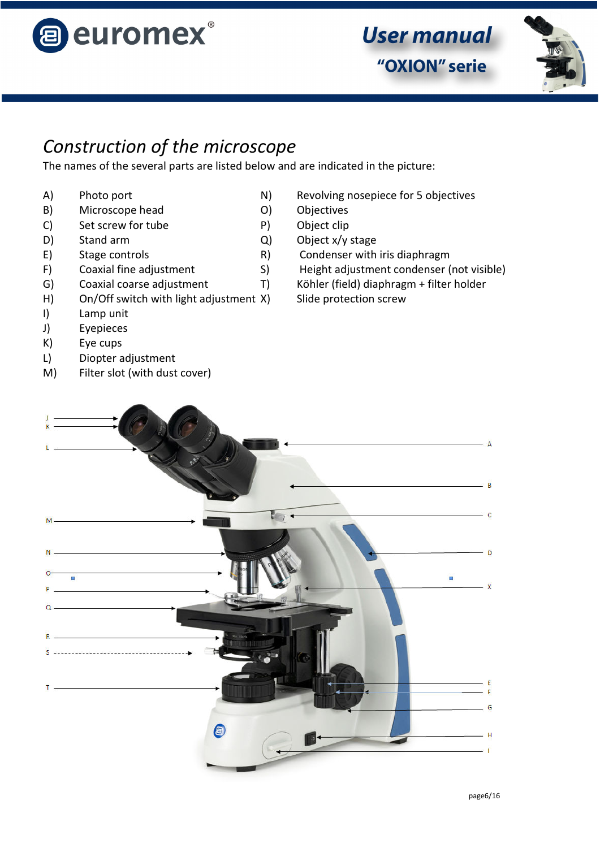



# *Construction of the microscope*

The names of the several parts are listed below and are indicated in the picture:

- 
- B) Microscope head 0) Objectives
- C) Set screw for tube P) Object clip
- 
- 
- 
- G) Coaxial coarse adjustment T) Köhler (field) diaphragm + filter holder
- H) On/Off switch with light adjustment X) Slide protection screw
- I) Lamp unit
- J) Eyepieces
- K) Eye cups
- L) Diopter adjustment
- M) Filter slot (with dust cover)
- A) Photo port N) Revolving nosepiece for 5 objectives
	-
	-
- D) Stand arm Q) Object x/y stage
- E) Stage controls The R) Condenser with iris diaphragm
- F) Coaxial fine adjustment S) Height adjustment condenser (not visible)
	-
	-

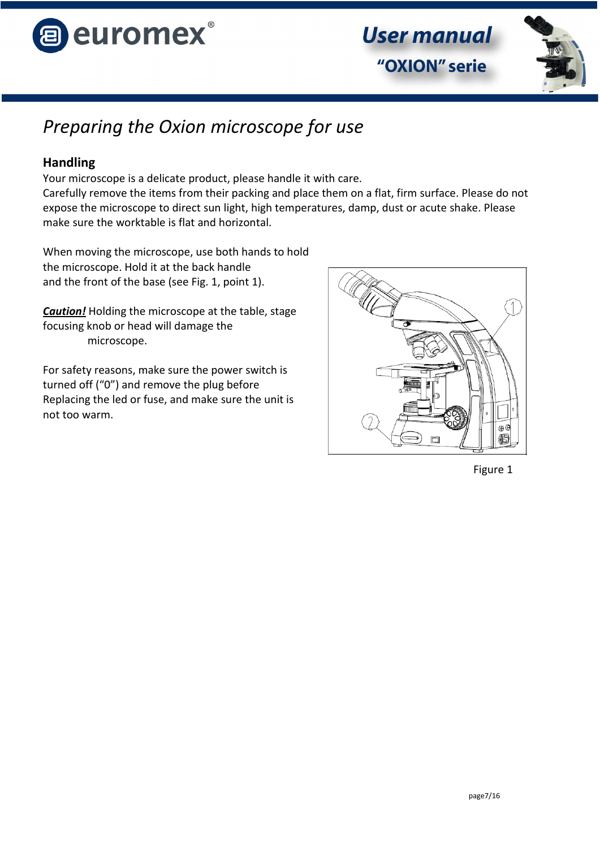



# *Preparing the Oxion microscope for use*

## **Handling**

Your microscope is a delicate product, please handle it with care.

Carefully remove the items from their packing and place them on a flat, firm surface. Please do not expose the microscope to direct sun light, high temperatures, damp, dust or acute shake. Please make sure the worktable is flat and horizontal.

When moving the microscope, use both hands to hold the microscope. Hold it at the back handle and the front of the base (see Fig. 1, point 1).

*Caution!* Holding the microscope at the table, stage focusing knob or head will damage the microscope.

For safety reasons, make sure the power switch is turned off ("0") and remove the plug before Replacing the led or fuse, and make sure the unit is not too warm.



Figure 1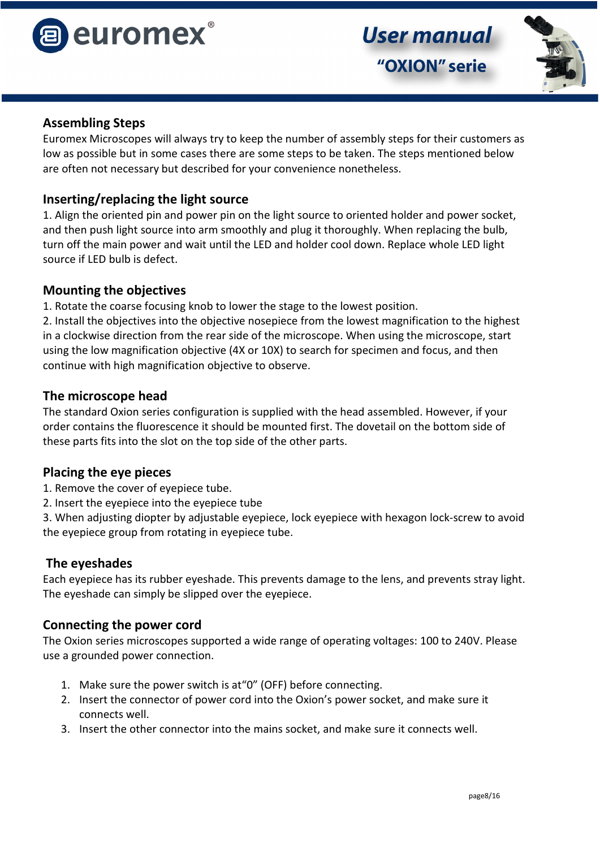



#### **Assembling Steps**

Euromex Microscopes will always try to keep the number of assembly steps for their customers as low as possible but in some cases there are some steps to be taken. The steps mentioned below are often not necessary but described for your convenience nonetheless.

#### **Inserting/replacing the light source**

1. Align the oriented pin and power pin on the light source to oriented holder and power socket, and then push light source into arm smoothly and plug it thoroughly. When replacing the bulb, turn off the main power and wait until the LED and holder cool down. Replace whole LED light source if LED bulb is defect.

#### **Mounting the objectives**

1. Rotate the coarse focusing knob to lower the stage to the lowest position.

2. Install the objectives into the objective nosepiece from the lowest magnification to the highest in a clockwise direction from the rear side of the microscope. When using the microscope, start using the low magnification objective (4X or 10X) to search for specimen and focus, and then continue with high magnification objective to observe.

#### **The microscope head**

The standard Oxion series configuration is supplied with the head assembled. However, if your order contains the fluorescence it should be mounted first. The dovetail on the bottom side of these parts fits into the slot on the top side of the other parts.

#### **Placing the eye pieces**

- 1. Remove the cover of eyepiece tube.
- 2. Insert the eyepiece into the eyepiece tube

3. When adjusting diopter by adjustable eyepiece, lock eyepiece with hexagon lock-screw to avoid the eyepiece group from rotating in eyepiece tube.

#### **The eyeshades**

Each eyepiece has its rubber eyeshade. This prevents damage to the lens, and prevents stray light. The eyeshade can simply be slipped over the eyepiece.

#### **Connecting the power cord**

The Oxion series microscopes supported a wide range of operating voltages: 100 to 240V. Please use a grounded power connection.

- 1. Make sure the power switch is at"0" (OFF) before connecting.
- 2. Insert the connector of power cord into the Oxion's power socket, and make sure it connects well.
- 3. Insert the other connector into the mains socket, and make sure it connects well.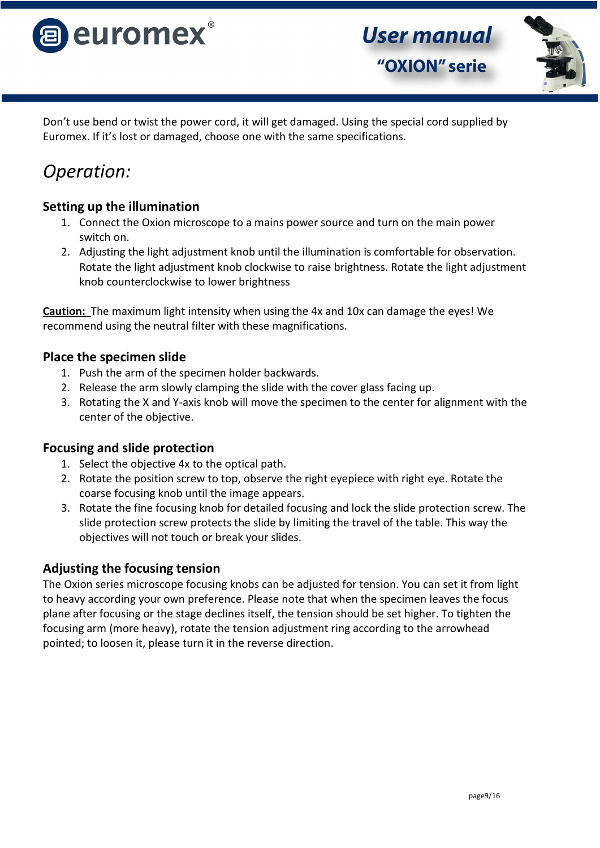



Don't use bend or twist the power cord, it will get damaged. Using the special cord supplied by Euromex. If it's lost or damaged, choose one with the same specifications.

# *Operation:*

## **Setting up the illumination**

- 1. Connect the Oxion microscope to a mains power source and turn on the main power switch on.
- 2. Adjusting the light adjustment knob until the illumination is comfortable for observation. Rotate the light adjustment knob clockwise to raise brightness. Rotate the light adjustment knob counterclockwise to lower brightness

**Caution:** The maximum light intensity when using the 4x and 10x can damage the eyes! We recommend using the neutral filter with these magnifications.

## **Place the specimen slide**

- 1. Push the arm of the specimen holder backwards.
- 2. Release the arm slowly clamping the slide with the cover glass facing up.
- 3. Rotating the X and Y-axis knob will move the specimen to the center for alignment with the center of the objective.

## **Focusing and slide protection**

- 1. Select the objective 4x to the optical path.
- 2. Rotate the position screw to top, observe the right eyepiece with right eye. Rotate the coarse focusing knob until the image appears.
- 3. Rotate the fine focusing knob for detailed focusing and lock the slide protection screw. The slide protection screw protects the slide by limiting the travel of the table. This way the objectives will not touch or break your slides.

## **Adjusting the focusing tension**

The Oxion series microscope focusing knobs can be adjusted for tension. You can set it from light to heavy according your own preference. Please note that when the specimen leaves the focus plane after focusing or the stage declines itself, the tension should be set higher. To tighten the focusing arm (more heavy), rotate the tension adjustment ring according to the arrowhead pointed; to loosen it, please turn it in the reverse direction.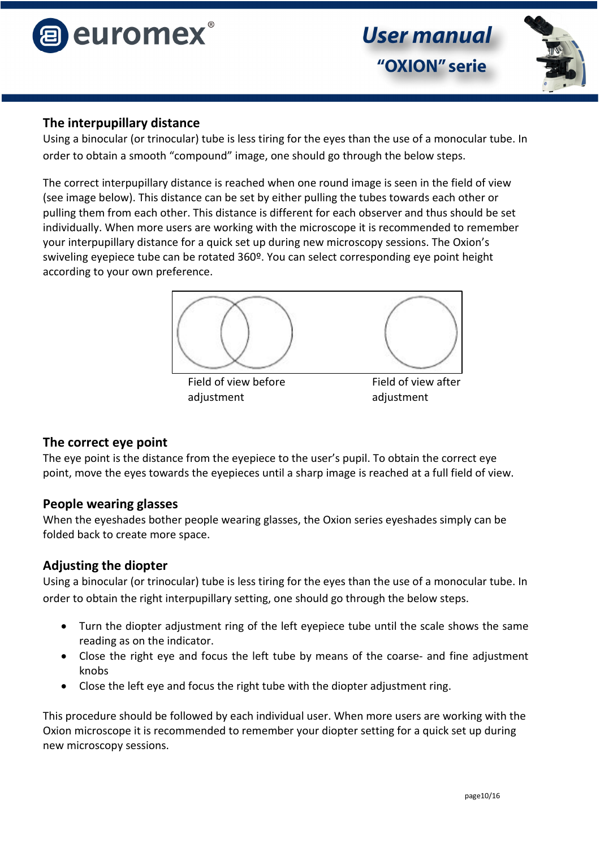



## **The interpupillary distance**

Using a binocular (or trinocular) tube is less tiring for the eyes than the use of a monocular tube. In order to obtain a smooth "compound" image, one should go through the below steps.

The correct interpupillary distance is reached when one round image is seen in the field of view (see image below). This distance can be set by either pulling the tubes towards each other or pulling them from each other. This distance is different for each observer and thus should be set individually. When more users are working with the microscope it is recommended to remember your interpupillary distance for a quick set up during new microscopy sessions. The Oxion's swiveling eyepiece tube can be rotated 360º. You can select corresponding eye point height according to your own preference.



adjustment adjustment

## **The correct eye point**

The eye point is the distance from the eyepiece to the user's pupil. To obtain the correct eye point, move the eyes towards the eyepieces until a sharp image is reached at a full field of view.

## **People wearing glasses**

When the eyeshades bother people wearing glasses, the Oxion series eyeshades simply can be folded back to create more space.

## **Adjusting the diopter**

Using a binocular (or trinocular) tube is less tiring for the eyes than the use of a monocular tube. In order to obtain the right interpupillary setting, one should go through the below steps.

- Turn the diopter adjustment ring of the left eyepiece tube until the scale shows the same reading as on the indicator.
- Close the right eye and focus the left tube by means of the coarse- and fine adjustment knobs
- Close the left eye and focus the right tube with the diopter adjustment ring.

This procedure should be followed by each individual user. When more users are working with the Oxion microscope it is recommended to remember your diopter setting for a quick set up during new microscopy sessions.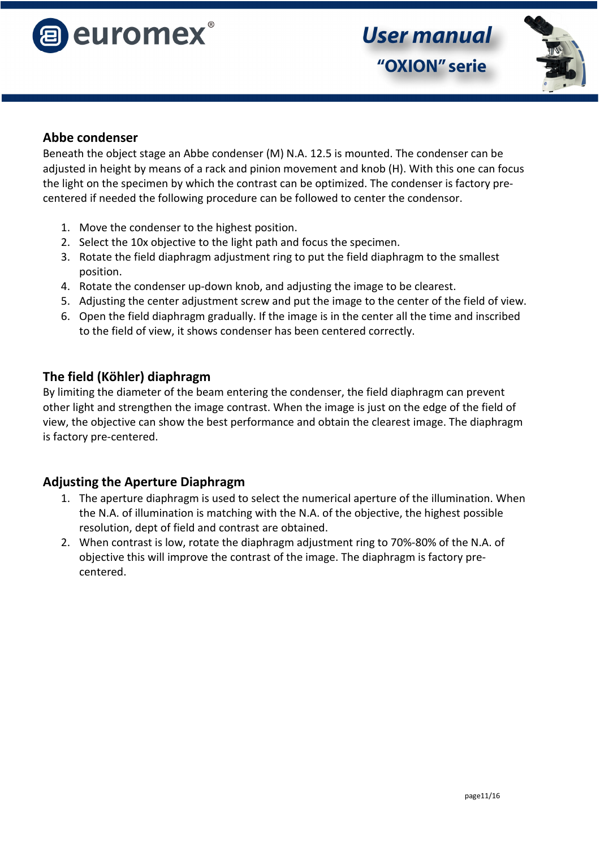



#### **Abbe condenser**

Beneath the object stage an Abbe condenser (M) N.A. 12.5 is mounted. The condenser can be adjusted in height by means of a rack and pinion movement and knob (H). With this one can focus the light on the specimen by which the contrast can be optimized. The condenser is factory precentered if needed the following procedure can be followed to center the condensor.

- 1. Move the condenser to the highest position.
- 2. Select the 10x objective to the light path and focus the specimen.
- 3. Rotate the field diaphragm adjustment ring to put the field diaphragm to the smallest position.
- 4. Rotate the condenser up-down knob, and adjusting the image to be clearest.
- 5. Adjusting the center adjustment screw and put the image to the center of the field of view.
- 6. Open the field diaphragm gradually. If the image is in the center all the time and inscribed to the field of view, it shows condenser has been centered correctly.

#### **The field (Köhler) diaphragm**

By limiting the diameter of the beam entering the condenser, the field diaphragm can prevent other light and strengthen the image contrast. When the image is just on the edge of the field of view, the objective can show the best performance and obtain the clearest image. The diaphragm is factory pre-centered.

#### **Adjusting the Aperture Diaphragm**

- 1. The aperture diaphragm is used to select the numerical aperture of the illumination. When the N.A. of illumination is matching with the N.A. of the objective, the highest possible resolution, dept of field and contrast are obtained.
- 2. When contrast is low, rotate the diaphragm adjustment ring to 70%-80% of the N.A. of objective this will improve the contrast of the image. The diaphragm is factory precentered.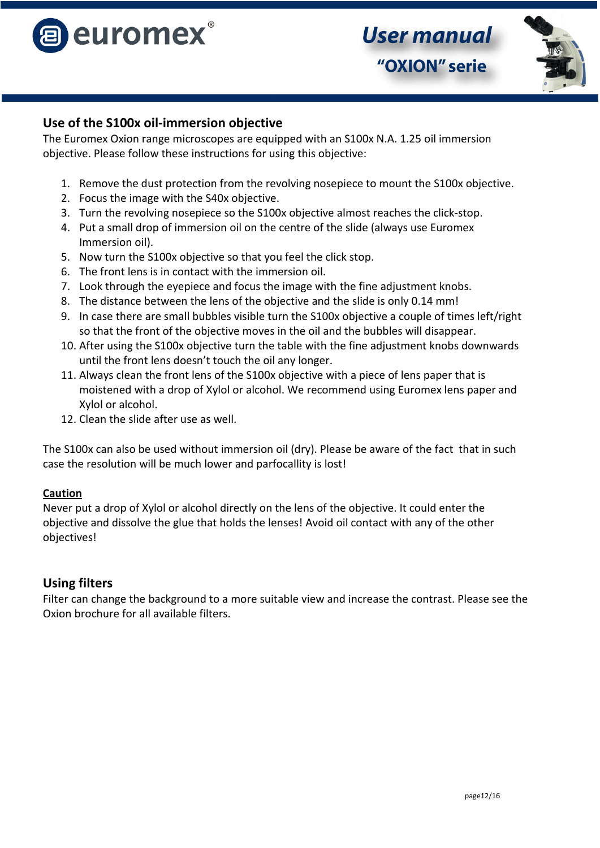

## **Use of the S100x oil-immersion objective**

The Euromex Oxion range microscopes are equipped with an S100x N.A. 1.25 oil immersion objective. Please follow these instructions for using this objective:

- 1. Remove the dust protection from the revolving nosepiece to mount the S100x objective.
- 2. Focus the image with the S40x objective.
- 3. Turn the revolving nosepiece so the S100x objective almost reaches the click-stop.
- 4. Put a small drop of immersion oil on the centre of the slide (always use Euromex Immersion oil).
- 5. Now turn the S100x objective so that you feel the click stop.
- 6. The front lens is in contact with the immersion oil.
- 7. Look through the eyepiece and focus the image with the fine adjustment knobs.
- 8. The distance between the lens of the objective and the slide is only 0.14 mm!
- 9. In case there are small bubbles visible turn the S100x objective a couple of times left/right so that the front of the objective moves in the oil and the bubbles will disappear.
- 10. After using the S100x objective turn the table with the fine adjustment knobs downwards until the front lens doesn't touch the oil any longer.
- 11. Always clean the front lens of the S100x objective with a piece of lens paper that is moistened with a drop of Xylol or alcohol. We recommend using Euromex lens paper and Xylol or alcohol.
- 12. Clean the slide after use as well.

The S100x can also be used without immersion oil (dry). Please be aware of the fact that in such case the resolution will be much lower and parfocallity is lost!

#### **Caution**

Never put a drop of Xylol or alcohol directly on the lens of the objective. It could enter the objective and dissolve the glue that holds the lenses! Avoid oil contact with any of the other objectives!

## **Using filters**

Filter can change the background to a more suitable view and increase the contrast. Please see the Oxion brochure for all available filters.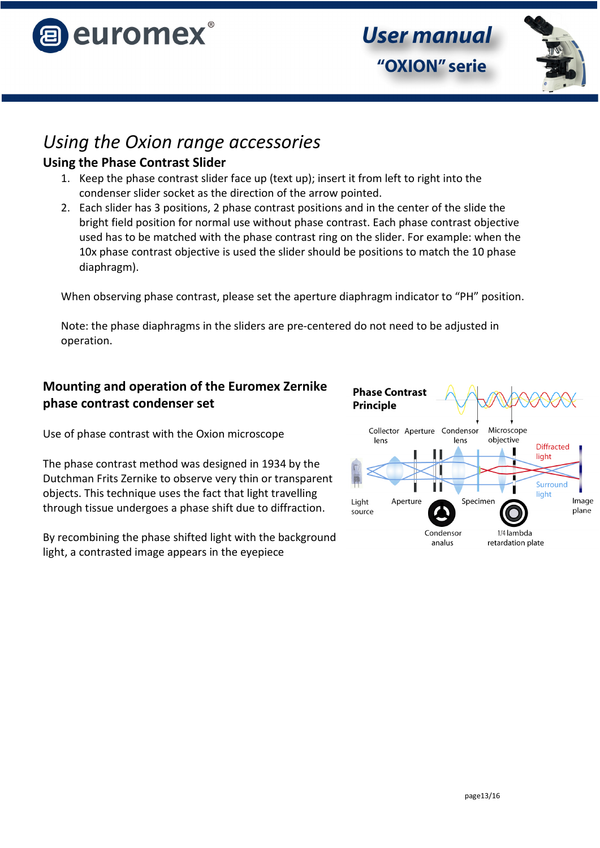

**User manual** "OXION" serie

## *Using the Oxion range accessories*

## **Using the Phase Contrast Slider**

- 1. Keep the phase contrast slider face up (text up); insert it from left to right into the condenser slider socket as the direction of the arrow pointed.
- 2. Each slider has 3 positions, 2 phase contrast positions and in the center of the slide the bright field position for normal use without phase contrast. Each phase contrast objective used has to be matched with the phase contrast ring on the slider. For example: when the 10x phase contrast objective is used the slider should be positions to match the 10 phase diaphragm).

When observing phase contrast, please set the aperture diaphragm indicator to "PH" position.

Note: the phase diaphragms in the sliders are pre-centered do not need to be adjusted in operation.

## **Mounting and operation of the Euromex Zernike phase contrast condenser set**

Use of phase contrast with the Oxion microscope

The phase contrast method was designed in 1934 by the Dutchman Frits Zernike to observe very thin or transparent objects. This technique uses the fact that light travelling through tissue undergoes a phase shift due to diffraction.

By recombining the phase shifted light with the background light, a contrasted image appears in the eyepiece

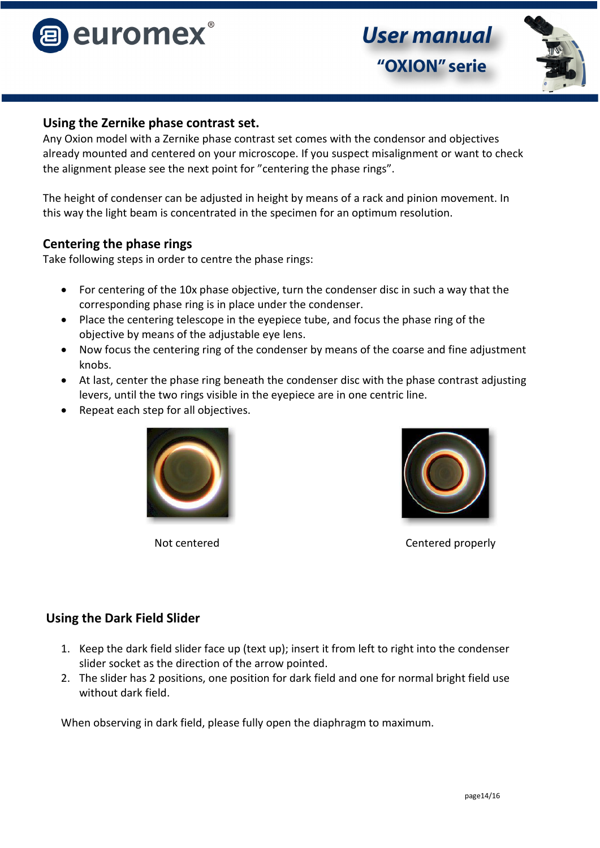



#### **Using the Zernike phase contrast set.**

Any Oxion model with a Zernike phase contrast set comes with the condensor and objectives already mounted and centered on your microscope. If you suspect misalignment or want to check the alignment please see the next point for "centering the phase rings".

The height of condenser can be adjusted in height by means of a rack and pinion movement. In this way the light beam is concentrated in the specimen for an optimum resolution.

#### **Centering the phase rings**

Take following steps in order to centre the phase rings:

- For centering of the 10x phase objective, turn the condenser disc in such a way that the corresponding phase ring is in place under the condenser.
- Place the centering telescope in the eyepiece tube, and focus the phase ring of the objective by means of the adjustable eye lens.
- Now focus the centering ring of the condenser by means of the coarse and fine adjustment knobs.
- At last, center the phase ring beneath the condenser disc with the phase contrast adjusting levers, until the two rings visible in the eyepiece are in one centric line.
- Repeat each step for all objectives.





Not centered and content centered properly

## **Using the Dark Field Slider**

- 1. Keep the dark field slider face up (text up); insert it from left to right into the condenser slider socket as the direction of the arrow pointed.
- 2. The slider has 2 positions, one position for dark field and one for normal bright field use without dark field.

When observing in dark field, please fully open the diaphragm to maximum.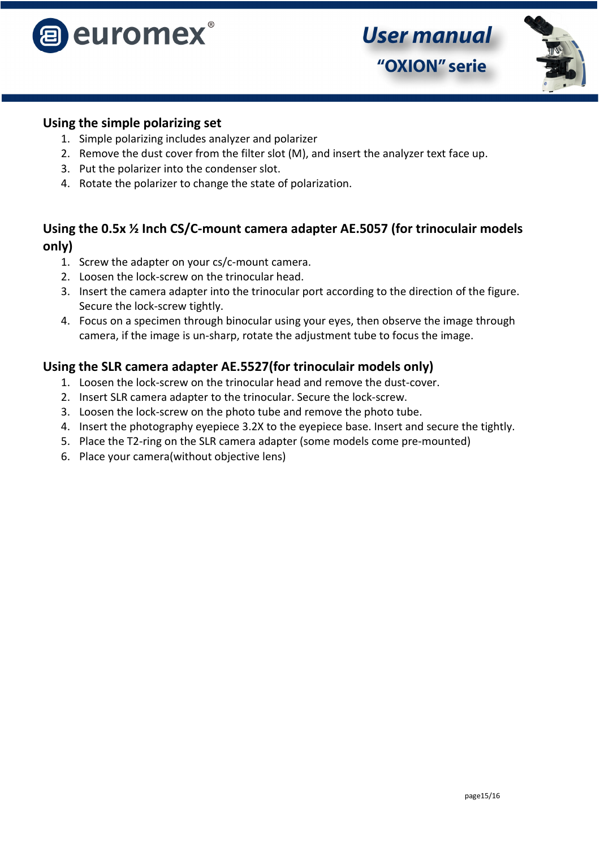



#### **Using the simple polarizing set**

- 1. Simple polarizing includes analyzer and polarizer
- 2. Remove the dust cover from the filter slot (M), and insert the analyzer text face up.
- 3. Put the polarizer into the condenser slot.
- 4. Rotate the polarizer to change the state of polarization.

## **Using the 0.5x ½ Inch CS/C-mount camera adapter AE.5057 (for trinoculair models only)**

- 1. Screw the adapter on your cs/c-mount camera.
- 2. Loosen the lock-screw on the trinocular head.
- 3. Insert the camera adapter into the trinocular port according to the direction of the figure. Secure the lock-screw tightly.
- 4. Focus on a specimen through binocular using your eyes, then observe the image through camera, if the image is un-sharp, rotate the adjustment tube to focus the image.

## **Using the SLR camera adapter AE.5527(for trinoculair models only)**

- 1. Loosen the lock-screw on the trinocular head and remove the dust-cover.
- 2. Insert SLR camera adapter to the trinocular. Secure the lock-screw.
- 3. Loosen the lock-screw on the photo tube and remove the photo tube.
- 4. Insert the photography eyepiece 3.2X to the eyepiece base. Insert and secure the tightly.
- 5. Place the T2-ring on the SLR camera adapter (some models come pre-mounted)
- 6. Place your camera(without objective lens)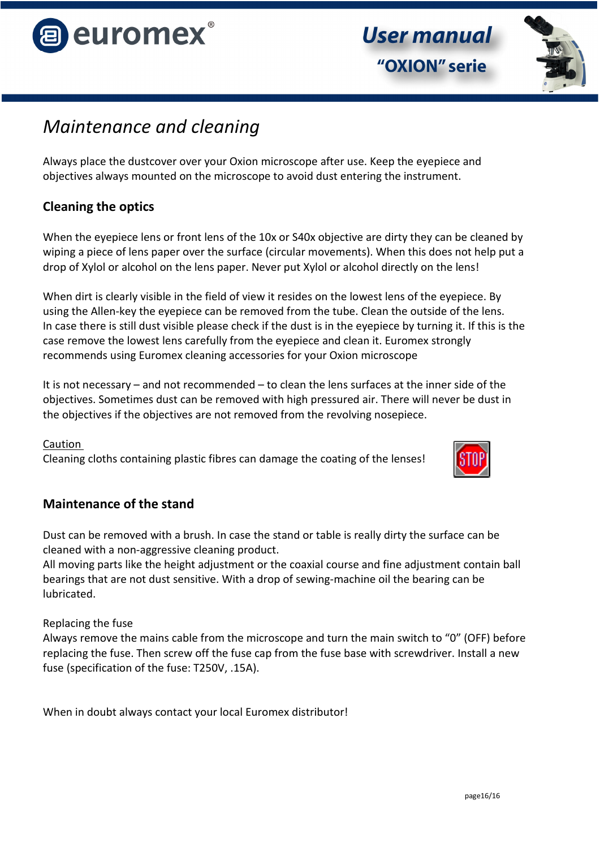



## *Maintenance and cleaning*

Always place the dustcover over your Oxion microscope after use. Keep the eyepiece and objectives always mounted on the microscope to avoid dust entering the instrument.

## **Cleaning the optics**

When the eyepiece lens or front lens of the 10x or S40x objective are dirty they can be cleaned by wiping a piece of lens paper over the surface (circular movements). When this does not help put a drop of Xylol or alcohol on the lens paper. Never put Xylol or alcohol directly on the lens!

When dirt is clearly visible in the field of view it resides on the lowest lens of the eyepiece. By using the Allen-key the eyepiece can be removed from the tube. Clean the outside of the lens. In case there is still dust visible please check if the dust is in the eyepiece by turning it. If this is the case remove the lowest lens carefully from the eyepiece and clean it. Euromex strongly recommends using Euromex cleaning accessories for your Oxion microscope

It is not necessary – and not recommended – to clean the lens surfaces at the inner side of the objectives. Sometimes dust can be removed with high pressured air. There will never be dust in the objectives if the objectives are not removed from the revolving nosepiece.

#### Caution

Cleaning cloths containing plastic fibres can damage the coating of the lenses!



## **Maintenance of the stand**

Dust can be removed with a brush. In case the stand or table is really dirty the surface can be cleaned with a non-aggressive cleaning product.

All moving parts like the height adjustment or the coaxial course and fine adjustment contain ball bearings that are not dust sensitive. With a drop of sewing-machine oil the bearing can be lubricated.

Replacing the fuse

Always remove the mains cable from the microscope and turn the main switch to "0" (OFF) before replacing the fuse. Then screw off the fuse cap from the fuse base with screwdriver. Install a new fuse (specification of the fuse: T250V, .15A).

When in doubt always contact your local Euromex distributor!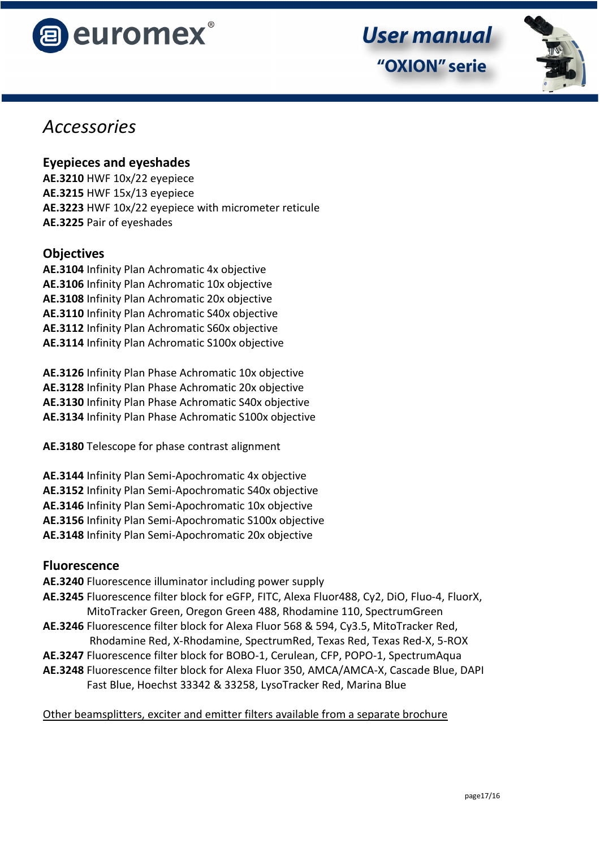



## *Accessories*

## **Eyepieces and eyeshades**

**AE.3210** HWF 10x/22 eyepiece **AE.3215** HWF 15x/13 eyepiece **AE.3223** HWF 10x/22 eyepiece with micrometer reticule **AE.3225** Pair of eyeshades

## **Objectives**

**AE.3104** Infinity Plan Achromatic 4x objective **AE.3106** Infinity Plan Achromatic 10x objective **AE.3108** Infinity Plan Achromatic 20x objective **AE.3110** Infinity Plan Achromatic S40x objective **AE.3112** Infinity Plan Achromatic S60x objective **AE.3114** Infinity Plan Achromatic S100x objective

**AE.3126** Infinity Plan Phase Achromatic 10x objective **AE.3128** Infinity Plan Phase Achromatic 20x objective **AE.3130** Infinity Plan Phase Achromatic S40x objective **AE.3134** Infinity Plan Phase Achromatic S100x objective

**AE.3180** Telescope for phase contrast alignment

- **AE.3144** Infinity Plan Semi-Apochromatic 4x objective
- **AE.3152** Infinity Plan Semi-Apochromatic S40x objective
- **AE.3146** Infinity Plan Semi-Apochromatic 10x objective
- **AE.3156** Infinity Plan Semi-Apochromatic S100x objective
- **AE.3148** Infinity Plan Semi-Apochromatic 20x objective

## **Fluorescence**

- **AE.3240** Fluorescence illuminator including power supply
- **AE.3245** Fluorescence filter block for eGFP, FITC, Alexa Fluor488, Cy2, DiO, Fluo-4, FluorX, MitoTracker Green, Oregon Green 488, Rhodamine 110, SpectrumGreen
- **AE.3246** Fluorescence filter block for Alexa Fluor 568 & 594, Cy3.5, MitoTracker Red, Rhodamine Red, X-Rhodamine, SpectrumRed, Texas Red, Texas Red-X, 5-ROX
- **AE.3247** Fluorescence filter block for BOBO-1, Cerulean, CFP, POPO-1, SpectrumAqua
- **AE.3248** Fluorescence filter block for Alexa Fluor 350, AMCA/AMCA-X, Cascade Blue, DAPI Fast Blue, Hoechst 33342 & 33258, LysoTracker Red, Marina Blue

## Other beamsplitters, exciter and emitter filters available from a separate brochure